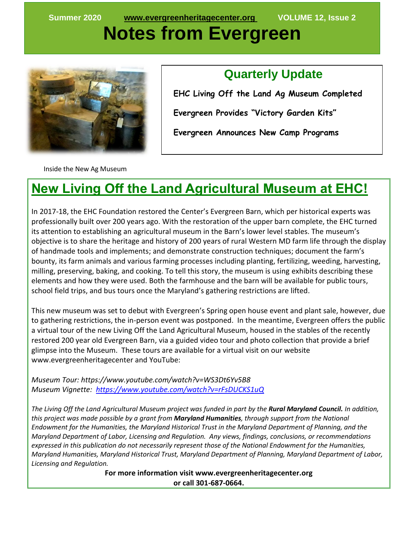# **Notes from Evergreen**



#### **Quarterly Update**

 **EHC Living Off the Land Ag Museum Completed Evergreen Provides "Victory Garden Kits" Evergreen Announces New Camp Programs**

Inside the New Ag Museum

## **New Living Off the Land Agricultural Museum at EHC!**

In 2017-18, the EHC Foundation restored the Center's Evergreen Barn, which per historical experts was professionally built over 200 years ago. With the restoration of the upper barn complete, the EHC turned its attention to establishing an agricultural museum in the Barn's lower level stables. The museum's objective is to share the heritage and history of 200 years of rural Western MD farm life through the display of handmade tools and implements; and demonstrate construction techniques; document the farm's bounty, its farm animals and various farming processes including planting, fertilizing, weeding, harvesting, milling, preserving, baking, and cooking. To tell this story, the museum is using exhibits describing these elements and how they were used. Both the farmhouse and the barn will be available for public tours, school field trips, and bus tours once the Maryland's gathering restrictions are lifted.

This new museum was set to debut with Evergreen's Spring open house event and plant sale, however, due to gathering restrictions, the in-person event was postponed. In the meantime, Evergreen offers the public a virtual tour of the new Living Off the Land Agricultural Museum, housed in the stables of the recently restored 200 year old Evergreen Barn, via a guided video tour and photo collection that provide a brief glimpse into the Museum. These tours are available for a virtual visit on our website www.evergreenheritagecenter and YouTube:

*Museum Tour: https://www.youtube.com/watch?v=WS3Dt6Yv5B8 Museum Vignette:<https://www.youtube.com/watch?v=rFsDUCKS1uQ>*

*The Living Off the Land Agricultural Museum project was funded in part by the Rural Maryland Council. In addition, this project was made possible by a grant from Maryland Humanities, through support from the National Endowment for the Humanities, the Maryland Historical Trust in the Maryland Department of Planning, and the Maryland Department of Labor, Licensing and Regulation. Any views, findings, conclusions, or recommendations expressed in this publication do not necessarily represent those of the National Endowment for the Humanities, Maryland Humanities, Maryland Historical Trust, Maryland Department of Planning, Maryland Department of Labor, Licensing and Regulation.*

> **For more information visit www.evergreenheritagecenter.org or call 301-687-0664.**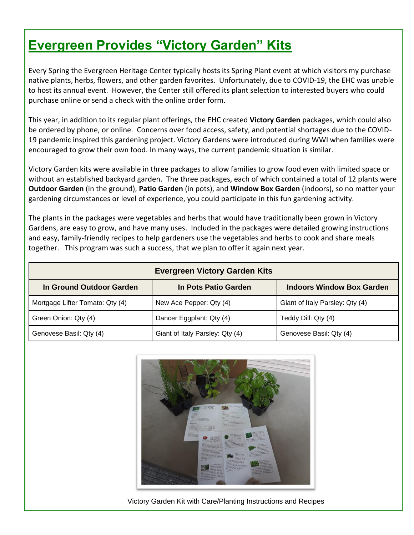# **Evergreen Provides "Victory Garden" Kits**

Every Spring the Evergreen Heritage Center typically hosts its Spring Plant event at which visitors my purchase native plants, herbs, flowers, and other garden favorites. Unfortunately, due to COVID-19, the EHC was unable to host its annual event. However, the Center still offered its plant selection to interested buyers who could purchase online or send a check with the online order form.

This year, in addition to its regular plant offerings, the EHC created **Victory Garden** packages, which could also be ordered by phone, or online. Concerns over food access, safety, and potential shortages due to the COVID-19 pandemic inspired this gardening project. Victory Gardens were introduced during WWI when families were encouraged to grow their own food. In many ways, the current pandemic situation is similar.

Victory Garden kits were available in three packages to allow families to grow food even with limited space or without an established backyard garden. The three packages, each of which contained a total of 12 plants were **Outdoor Garden** (in the ground), **Patio Garden** (in pots), and **Window Box Garden** (indoors), so no matter your gardening circumstances or level of experience, you could participate in this fun gardening activity.

The plants in the packages were vegetables and herbs that would have traditionally been grown in Victory Gardens, are easy to grow, and have many uses. Included in the packages were detailed growing instructions and easy, family-friendly recipes to help gardeners use the vegetables and herbs to cook and share meals together. This program was such a success, that we plan to offer it again next year.

| <b>Evergreen Victory Garden Kits</b> |                                 |                                  |
|--------------------------------------|---------------------------------|----------------------------------|
| In Ground Outdoor Garden             | In Pots Patio Garden            | <b>Indoors Window Box Garden</b> |
| Mortgage Lifter Tomato: Qty (4)      | New Ace Pepper: Qty (4)         | Giant of Italy Parsley: Qty (4)  |
| Green Onion: Qty (4)                 | Dancer Eggplant: Qty (4)        | Teddy Dill: Qty (4)              |
| Genovese Basil: Qty (4)              | Giant of Italy Parsley: Qty (4) | Genovese Basil: Qty (4)          |



Victory Garden Kit with Care/Planting Instructions and Recipes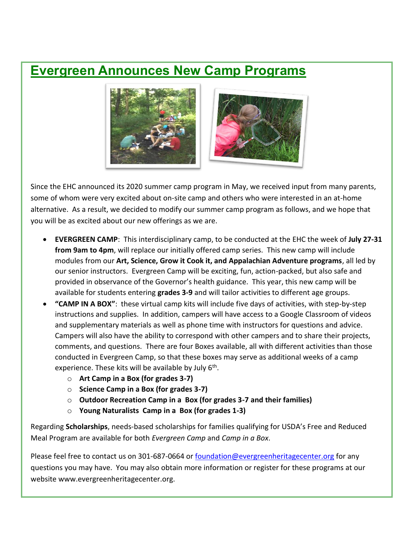#### **Evergreen Announces New Camp Programs**



Since the EHC announced its 2020 summer camp program in May, we received input from many parents, some of whom were very excited about on-site camp and others who were interested in an at-home alternative. As a result, we decided to modify our summer camp program as follows, and we hope that you will be as excited about our new offerings as we are.

- **EVERGREEN CAMP**: This interdisciplinary camp, to be conducted at the EHC the week of **July 27-31 from 9am to 4pm**, will replace our initially offered camp series. This new camp will include modules from our **Art, Science, Grow it Cook it, and Appalachian Adventure programs**, all led by our senior instructors. Evergreen Camp will be exciting, fun, action-packed, but also safe and provided in observance of the Governor's health guidance. This year, this new camp will be available for students entering **grades 3-9** and will tailor activities to different age groups.
- **"CAMP IN A BOX"**: these virtual camp kits will include five days of activities, with step-by-step instructions and supplies. In addition, campers will have access to a Google Classroom of videos and supplementary materials as well as phone time with instructors for questions and advice. Campers will also have the ability to correspond with other campers and to share their projects, comments, and questions. There are four Boxes available, all with different activities than those conducted in Evergreen Camp, so that these boxes may serve as additional weeks of a camp experience. These kits will be available by July 6<sup>th</sup>.
	- o **Art Camp in a Box (for grades 3-7)**
	- o **Science Camp in a Box (for grades 3-7)**
	- o **Outdoor Recreation Camp in a Box (for grades 3-7 and their families)**
	- o **Young Naturalists Camp in a Box (for grades 1-3)**

Regarding **Scholarships**, needs-based scholarships for families qualifying for USDA's Free and Reduced Meal Program are available for both *Evergreen Camp* and *Camp in a Box*.

Please feel free to contact us on 301-687-0664 or [foundation@evergreenheritagecenter.org](mailto:foundation@evergreenheritagecenter.org) for any questions you may have. You may also obtain more information or register for these programs at our website www.evergreenheritagecenter.org.